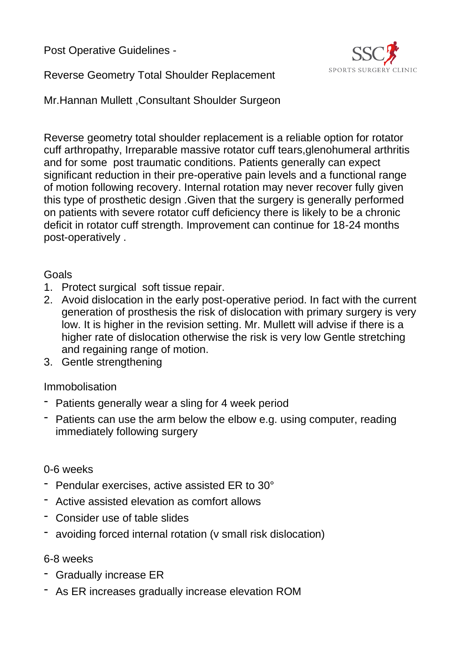Post Operative Guidelines -



Reverse Geometry Total Shoulder Replacement

Mr.Hannan Mullett ,Consultant Shoulder Surgeon

Reverse geometry total shoulder replacement is a reliable option for rotator cuff arthropathy, Irreparable massive rotator cuff tears,glenohumeral arthritis and for some post traumatic conditions. Patients generally can expect significant reduction in their pre-operative pain levels and a functional range of motion following recovery. Internal rotation may never recover fully given this type of prosthetic design .Given that the surgery is generally performed on patients with severe rotator cuff deficiency there is likely to be a chronic deficit in rotator cuff strength. Improvement can continue for 18-24 months post-operatively .

## Goals

- 1. Protect surgical soft tissue repair.
- 2. Avoid dislocation in the early post-operative period. In fact with the current generation of prosthesis the risk of dislocation with primary surgery is very low. It is higher in the revision setting. Mr. Mullett will advise if there is a higher rate of dislocation otherwise the risk is very low Gentle stretching and regaining range of motion.
- 3. Gentle strengthening

## Immobolisation

- Patients generally wear a sling for 4 week period
- Patients can use the arm below the elbow e.g. using computer, reading immediately following surgery

## 0-6 weeks

- Pendular exercises, active assisted ER to 30°
- Active assisted elevation as comfort allows
- Consider use of table slides
- avoiding forced internal rotation (v small risk dislocation)

## 6-8 weeks

- Gradually increase ER
- As ER increases gradually increase elevation ROM